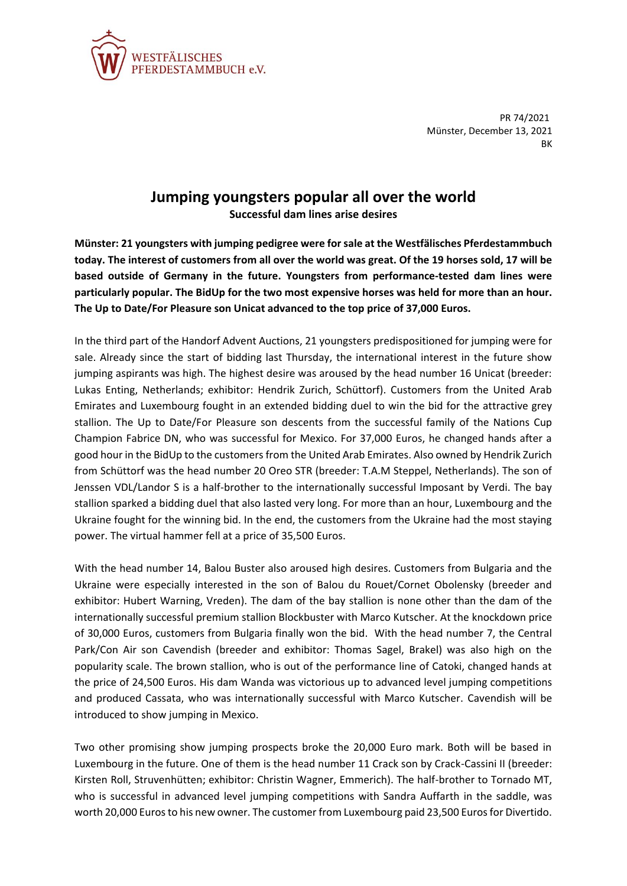

PR 74/2021 Münster, December 13, 2021 **BK** 

## **Jumping youngsters popular all over the world**

**Successful dam lines arise desires**

**Münster: 21 youngsters with jumping pedigree were for sale at the Westfälisches Pferdestammbuch today. The interest of customers from all over the world was great. Of the 19 horses sold, 17 will be based outside of Germany in the future. Youngsters from performance-tested dam lines were particularly popular. The BidUp for the two most expensive horses was held for more than an hour. The Up to Date/For Pleasure son Unicat advanced to the top price of 37,000 Euros.**

In the third part of the Handorf Advent Auctions, 21 youngsters predispositioned for jumping were for sale. Already since the start of bidding last Thursday, the international interest in the future show jumping aspirants was high. The highest desire was aroused by the head number 16 Unicat (breeder: Lukas Enting, Netherlands; exhibitor: Hendrik Zurich, Schüttorf). Customers from the United Arab Emirates and Luxembourg fought in an extended bidding duel to win the bid for the attractive grey stallion. The Up to Date/For Pleasure son descents from the successful family of the Nations Cup Champion Fabrice DN, who was successful for Mexico. For 37,000 Euros, he changed hands after a good hour in the BidUp to the customers from the United Arab Emirates. Also owned by Hendrik Zurich from Schüttorf was the head number 20 Oreo STR (breeder: T.A.M Steppel, Netherlands). The son of Jenssen VDL/Landor S is a half-brother to the internationally successful Imposant by Verdi. The bay stallion sparked a bidding duel that also lasted very long. For more than an hour, Luxembourg and the Ukraine fought for the winning bid. In the end, the customers from the Ukraine had the most staying power. The virtual hammer fell at a price of 35,500 Euros.

With the head number 14, Balou Buster also aroused high desires. Customers from Bulgaria and the Ukraine were especially interested in the son of Balou du Rouet/Cornet Obolensky (breeder and exhibitor: Hubert Warning, Vreden). The dam of the bay stallion is none other than the dam of the internationally successful premium stallion Blockbuster with Marco Kutscher. At the knockdown price of 30,000 Euros, customers from Bulgaria finally won the bid. With the head number 7, the Central Park/Con Air son Cavendish (breeder and exhibitor: Thomas Sagel, Brakel) was also high on the popularity scale. The brown stallion, who is out of the performance line of Catoki, changed hands at the price of 24,500 Euros. His dam Wanda was victorious up to advanced level jumping competitions and produced Cassata, who was internationally successful with Marco Kutscher. Cavendish will be introduced to show jumping in Mexico.

Two other promising show jumping prospects broke the 20,000 Euro mark. Both will be based in Luxembourg in the future. One of them is the head number 11 Crack son by Crack-Cassini II (breeder: Kirsten Roll, Struvenhütten; exhibitor: Christin Wagner, Emmerich). The half-brother to Tornado MT, who is successful in advanced level jumping competitions with Sandra Auffarth in the saddle, was worth 20,000 Euros to his new owner. The customer from Luxembourg paid 23,500 Euros for Divertido.